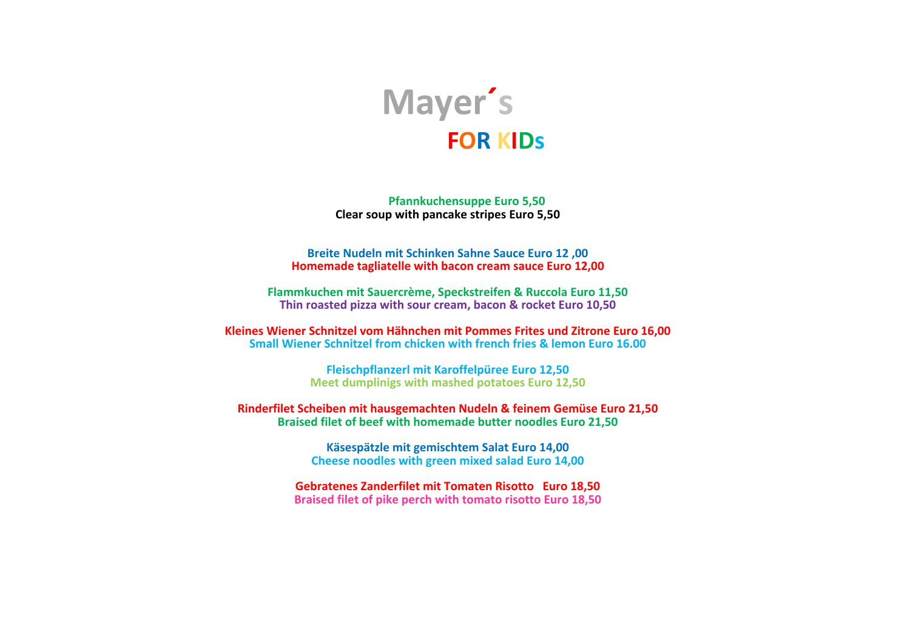

**Pfannkuchensuppe Euro 5,50 Clear soup with pancake stripes Euro 5,50** 

**Breite Nudeln mit Schinken Sahne Sauce Euro 12 .00 Homemade tagliatelle with bacon cream sauce Euro 12,00** 

**Flammkuchen mit Sauercrème, Speckstreifen & Ruccola Euro 11,50** Thin roasted pizza with sour cream, bacon & rocket Euro 10,50

**Kleines Wiener Schnitzel vom Hähnchen mit Pommes Frites und Zitrone Euro 16,00 Small Wiener Schnitzel from chicken with french fries & lemon Euro 16.00** 

> **Fleischpflanzerl mit Karoffelpüree Euro 12,50 Meet dumplinigs with mashed potatoes Euro 12,50**

**Rinderfilet Scheiben mit hausgemachten Nudeln & feinem Gemüse Euro 21,50 Braised filet of beef with homemade butter noodles Euro 21,50** 

> **Käsespätzle mit gemischtem Salat Euro 14,00 Cheese noodles with green mixed salad Euro 14,00**

Gebratenes Zanderfilet mit Tomaten Risotto Euro 18,50 **Braised filet of pike perch with tomato risotto Euro 18,50**